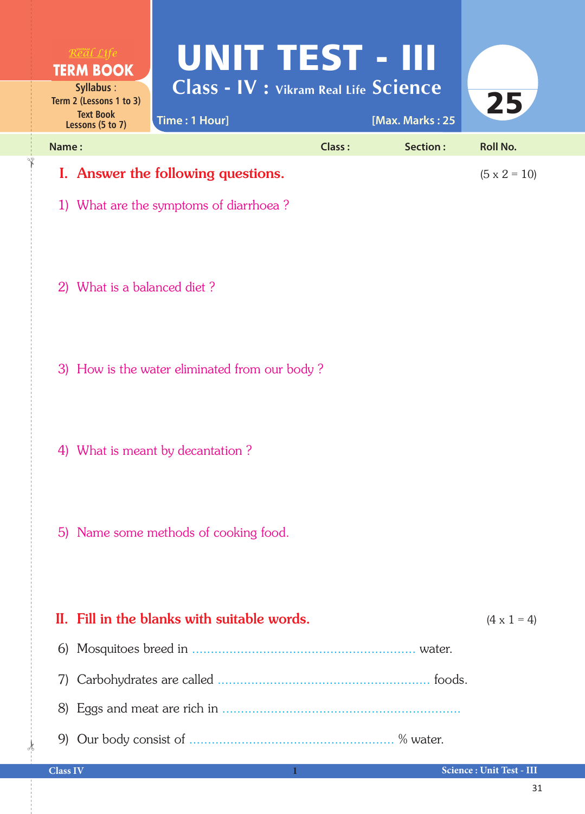| <b>TERM BOOK</b><br>Syllabus:<br>Term 2 (Lessons 1 to 3)<br><b>Text Book</b><br>Lessons (5 to 7) | UNIT TEST - III<br><b>Class - IV : Vikram Real Life Science</b><br>Time: 1 Hour] |        | [Max. Marks: 25 | 25              |  |
|--------------------------------------------------------------------------------------------------|----------------------------------------------------------------------------------|--------|-----------------|-----------------|--|
| Name:                                                                                            |                                                                                  | Class: | Section:        | <b>Roll No.</b> |  |
| I. Answer the following questions.                                                               | $(5 \times 2 = 10)$                                                              |        |                 |                 |  |

- 1) What are the symptoms of diarrhoea ?
- 2) What is a balanced diet ?

✁

- 3) How is the water eliminated from our body ?
- 4) What is meant by decantation ?
- 5) Name some methods of cooking food.

## II. Fill in the blanks with suitable words.  $(4 \times 1 = 4)$  6) Mosquitoes breed in ............................................................ water. 7) Carbohydrates are called ......................................................... foods. 8) Eggs and meat are rich in ................................................................ 9) Our body consist of ....................................................... % water. ✁